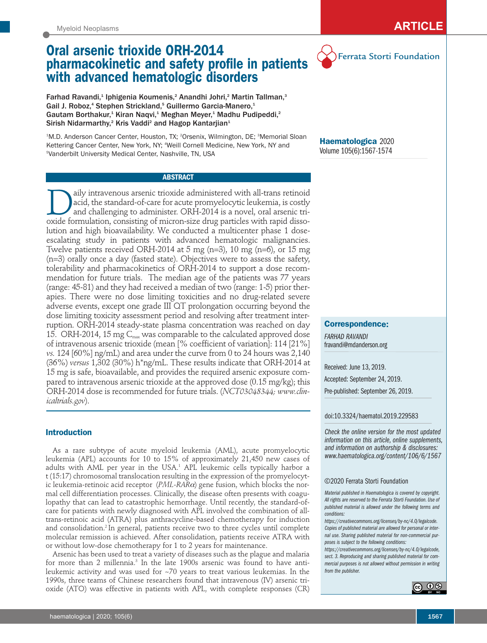## Myeloid Neoplasms **ARTICLE**

Ferrata Storti Foundation

# **Oral arsenic trioxide ORH-2014 pharmacokinetic and safety profile in patients with advanced hematologic disorders**

Farhad Ravandi,<sup>1</sup> Iphigenia Koumenis,<sup>2</sup> Anandhi Johri,<sup>2</sup> Martin Tallman,<sup>3</sup> Gail J. Roboz,<sup>4</sup> Stephen Strickland,<sup>5</sup> Guillermo Garcia-Manero,<sup>1</sup> Gautam Borthakur,<sup>1</sup> Kiran Naqvi,<sup>1</sup> Meghan Meyer,<sup>1</sup> Madhu Pudipeddi,<sup>2</sup> Sirish Nidarmarthy,<sup>2</sup> Kris Vaddi<sup>2</sup> and Hagop Kantarjian<sup>1</sup>

<sup>1</sup>M.D. Anderson Cancer Center, Houston, TX; <sup>2</sup>Orsenix, Wilmington, DE; <sup>3</sup>Memorial Sloan Kettering Cancer Center, New York, NY; 4 Weill Cornell Medicine, New York, NY and 5 Vanderbilt University Medical Center, Nashville, TN, USA

**ABSTRACT**

aily intravenous arsenic trioxide administered with all-trans retinoid<br>acid, the standard-of-care for acute promyelocytic leukemia, is costly<br>and challenging to administer. ORH-2014 is a novel, oral arsenic tri-<br>oxide form acid, the standard-of-care for acute promyelocytic leukemia, is costly and challenging to administer. ORH-2014 is a novel, oral arsenic trioxide formulation, consisting of micron-size drug particles with rapid dissolution and high bioavailability. We conducted a multicenter phase 1 doseescalating study in patients with advanced hematologic malignancies. Twelve patients received ORH-2014 at 5 mg (n=3), 10 mg (n=6), or 15 mg (n=3) orally once a day (fasted state). Objectives were to assess the safety, tolerability and pharmacokinetics of ORH-2014 to support a dose recommendation for future trials. The median age of the patients was 77 years (range: 45-81) and they had received a median of two (range: 1-5) prior therapies. There were no dose limiting toxicities and no drug-related severe adverse events, except one grade III QT prolongation occurring beyond the dose limiting toxicity assessment period and resolving after treatment interruption. ORH-2014 steady-state plasma concentration was reached on day 15. ORH-2014, 15 mg  $C_{\text{max}}$  was comparable to the calculated approved dose of intravenous arsenic trioxide (mean [% coefficient of variation]: 114 [21%] *vs.* 124 [60%] ng/mL) and area under the curve from 0 to 24 hours was 2,140 (36%) *versus* 1,302 (30%) h\*ng/mL. These results indicate that ORH-2014 at 15 mg is safe, bioavailable, and provides the required arsenic exposure compared to intravenous arsenic trioxide at the approved dose (0.15 mg/kg); this ORH-2014 dose is recommended for future trials. (*NCT03048344; www.clinicaltrials.gov*).

## **Introduction**

As a rare subtype of acute myeloid leukemia (AML), acute promyelocytic leukemia (APL) accounts for 10 to 15% of approximately 21,450 new cases of adults with AML per year in the USA.<sup>1</sup> APL leukemic cells typically harbor a t (15:17) chromosomal translocation resulting in the expression of the promyelocytic leukemia-retinoic acid receptor (*PML-RAR*α) gene fusion, which blocks the normal cell differentiation processes. Clinically, the disease often presents with coagulopathy that can lead to catastrophic hemorrhage. Until recently, the standard-ofcare for patients with newly diagnosed with APL involved the combination of alltrans-retinoic acid (ATRA) plus anthracycline-based chemotherapy for induction and consolidation.<sup>2</sup> In general, patients receive two to three cycles until complete molecular remission is achieved. After consolidation, patients receive ATRA with or without low-dose chemotherapy for 1 to 2 years for maintenance.

Arsenic has been used to treat a variety of diseases such as the plague and malaria for more than 2 millennia.<sup>3</sup> In the late 1900s arsenic was found to have antileukemic activity and was used for ~70 years to treat various leukemias. In the 1990s, three teams of Chinese researchers found that intravenous (IV) arsenic trioxide (ATO) was effective in patients with APL, with complete responses (CR)

**Haematologica** 2020 Volume 105(6):1567-1574

## **Correspondence:**

*FARHAD RAVANDI* fravandi@mdanderson.org

Received: June 13, 2019. Accepted: September 24, 2019.

Pre-published: September 26, 2019.

doi:10.3324/haematol.2019.229583

*Check the online version for the most updated information on this article, online supplements, and information on authorship & disclosures: www.haematologica.org/content/106/6/1567*

©2020 Ferrata Storti Foundation

*Material published in Haematologica is covered by copyright. All rights are reserved to the Ferrata Storti Foundation. Use of published material is allowed under the following terms and conditions:* 

*https://creativecommons.org/licenses/by-nc/4.0/legalcode. Copies of published material are allowed for personal or internal use. Sharing published material for non-commercial purposes is subject to the following conditions:* 

*https://creativecommons.org/licenses/by-nc/4.0/legalcode, sect. 3. Reproducing and sharing published material for commercial purposes is not allowed without permission in writing from the publisher.*

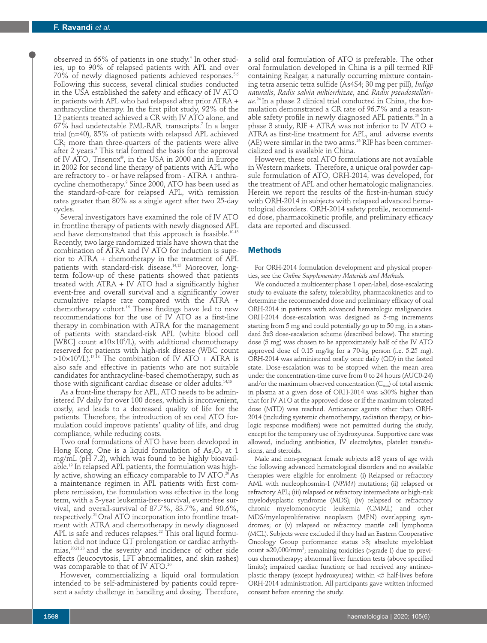observed in 66% of patients in one study.<sup>4</sup> In other studies, up to 90% of relapsed patients with APL and over 70% of newly diagnosed patients achieved responses.<sup>5,6</sup> Following this success, several clinical studies conducted in the USA established the safety and efficacy of IV ATO in patients with APL who had relapsed after prior ATRA + anthracycline therapy. In the first pilot study, 92% of the 12 patients treated achieved a CR with IV ATO alone, and 67% had undetectable PML-RAR transcripts.7 In a larger trial (n=40), 85% of patients with relapsed APL achieved CR; more than three-quarters of the patients were alive after 2 years.<sup>8</sup> This trial formed the basis for the approval of IV ATO, Trisenox®, in the USA in 2000 and in Europe in 2002 for second line therapy of patients with APL who are refractory to - or have relapsed from - ATRA + anthracycline chemotherapy.9 Since 2000, ATO has been used as the standard-of-care for relapsed APL, with remission rates greater than 80% as a single agent after two 25-day cycles.

Several investigators have examined the role of IV ATO in frontline therapy of patients with newly diagnosed APL and have demonstrated that this approach is feasible.<sup>10-13</sup> Recently, two large randomized trials have shown that the combination of ATRA and IV ATO for induction is superior to ATRA + chemotherapy in the treatment of APL patients with standard-risk disease.<sup>14,15</sup> Moreover, longterm follow-up of these patients showed that patients treated with ATRA + IV ATO had a significantly higher event-free and overall survival and a significantly lower cumulative relapse rate compared with the ATRA + chemotherapy cohort.<sup>16</sup> These findings have led to new recommendations for the use of IV ATO as a first-line therapy in combination with ATRA for the management of patients with standard-risk APL (white blood cell [WBC] count  $\leq 10 \times 10^{9}$ /L), with additional chemotherapy reserved for patients with high-risk disease (WBC count >10×109 /L).17,18 The combination of IV ATO + ATRA is also safe and effective in patients who are not suitable candidates for anthracycline-based chemotherapy, such as those with significant cardiac disease or older adults.<sup>14,15</sup>

As a front-line therapy for APL, ATO needs to be administered IV daily for over 100 doses, which is inconvenient, costly, and leads to a decreased quality of life for the patients. Therefore, the introduction of an oral ATO formulation could improve patients' quality of life, and drug compliance, while reducing costs.

Two oral formulations of ATO have been developed in Hong Kong. One is a liquid formulation of  $As_2O_3$  at 1 mg/mL (pH 7.2), which was found to be highly bioavailable.19 In relapsed APL patients, the formulation was highly active, showing an efficacy comparable to IV ATO.<sup>20</sup> As a maintenance regimen in APL patients with first complete remission, the formulation was effective in the long term, with a 3-year leukemia-free-survival, event-free survival, and overall-survival of 87.7%, 83.7%, and 90.6%, respectively.21 Oral ATO incorporation into frontline treatment with ATRA and chemotherapy in newly diagnosed APL is safe and reduces relapses. $22$  This oral liquid formulation did not induce QT prolongation or cardiac arrhythmias,20,21,23 and the severity and incidence of other side effects (leucocytosis, LFT abnormalities, and skin rashes) was comparable to that of IV ATO.<sup>20</sup>

However, commercializing a liquid oral formulation intended to be self-administered by patients could represent a safety challenge in handling and dosing. Therefore, a solid oral formulation of ATO is preferable. The other oral formulation developed in China is a pill termed RIF containing Realgar, a naturally occurring mixture containing tetra arsenic tetra sulfide (As4S4; 30 mg per pill), *Indigo naturalis*, *Radix salvia miltiorrhizae*, and *Radix pseudostellariae*. 24 In a phase 2 clinical trial conducted in China, the formulation demonstrated a CR rate of 96.7% and a reasonable safety profile in newly diagnosed APL patients.<sup>25</sup> In a phase 3 study, RIF + ATRA was not inferior to IV ATO + ATRA as first-line treatment for APL, and adverse events  $(AE)$  were similar in the two arms.<sup>26</sup> RIF has been commercialized and is available in China.

However, these oral ATO formulations are not available in Western markets. Therefore, a unique oral powder capsule formulation of ATO, ORH-2014, was developed, for the treatment of APL and other hematologic malignancies. Herein we report the results of the first-in-human study with ORH-2014 in subjects with relapsed advanced hematological disorders. ORH-2014 safety profile, recommended dose, pharmacokinetic profile, and preliminary efficacy data are reported and discussed.

#### **Methods**

For ORH-2014 formulation development and physical properties, see the *Online Supplementary Materials and Methods.* 

We conducted a multicenter phase 1 open-label, dose-escalating study to evaluate the safety, tolerability, pharmacokinetics and to determine the recommended dose and preliminary efficacy of oral ORH-2014 in patients with advanced hematologic malignancies. ORH-2014 dose-escalation was designed as 5-mg increments starting from 5 mg and could potentially go up to 50 mg, in a standard 3x3 dose-escalation scheme (described below). The starting dose (5 mg) was chosen to be approximately half of the IV ATO approved dose of 0.15 mg/kg for a 70-kg person (i.e. 5.25 mg). ORH-2014 was administered orally once daily (QD) in the fasted state. Dose-escalation was to be stopped when the mean area under the concentration-time curve from 0 to 24 hours (AUC0-24) and/or the maximum observed concentration  $(C_{\text{max}})$  of total arsenic in plasma at a given dose of ORH-2014 was ≥30% higher than that for IV ATO at the approved dose or if the maximum tolerated dose (MTD) was reached. Anticancer agents other than ORH-2014 (including systemic chemotherapy, radiation therapy, or biologic response modifiers) were not permitted during the study, except for the temporary use of hydroxyurea. Supportive care was allowed, including antibiotics, IV electrolytes, platelet transfusions, and steroids.

Male and non-pregnant female subjects ≥18 years of age with the following advanced hematological disorders and no available therapies were eligible for enrolment: (i) Relapsed or refractory AML with nucleophosmin-1 (*NPM1*) mutations; (ii) relapsed or refractory APL; (iii) relapsed or refractory intermediate or high-risk myelodysplastic syndrome (MDS); (iv) relapsed or refractory chronic myelomonocytic leukemia (CMML) and other MDS/myeloproliferative neoplasm (MPN) overlapping syndromes; or (v) relapsed or refractory mantle cell lymphoma (MCL). Subjects were excluded if they had an Eastern Cooperative Oncology Group performance status >3; absolute myeloblast count ≥20,000/mm3 ; remaining toxicities (>grade I) due to previous chemotherapy; abnormal liver function tests (above specified limits); impaired cardiac function; or had received any antineoplastic therapy (except hydroxyurea) within <5 half-lives before ORH-2014 administration. All participants gave written informed consent before entering the study.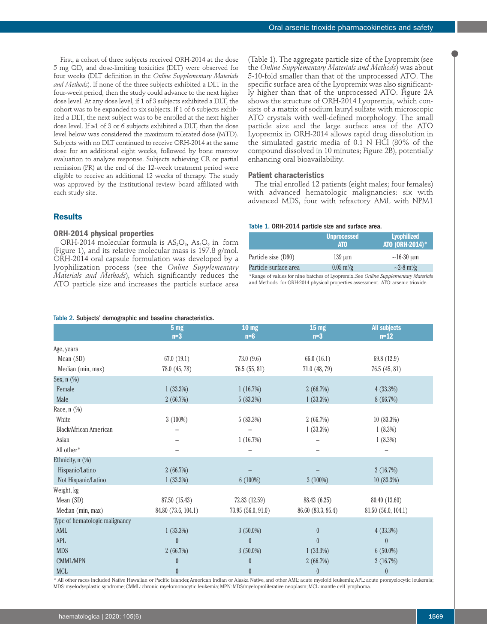First, a cohort of three subjects received ORH-2014 at the dose 5 mg QD, and dose-limiting toxicities (DLT) were observed for four weeks (DLT definition in the *Online Supplementary Materials and Methods*). If none of the three subjects exhibited a DLT in the four-week period, then the study could advance to the next higher dose level. At any dose level, if 1 of 3 subjects exhibited a DLT, the cohort was to be expanded to six subjects. If 1 of 6 subjects exhibited a DLT, the next subject was to be enrolled at the next higher dose level. If ≥1 of 3 or 6 subjects exhibited a DLT, then the dose level below was considered the maximum tolerated dose (MTD). Subjects with no DLT continued to receive ORH-2014 at the same dose for an additional eight weeks, followed by bone marrow evaluation to analyze response. Subjects achieving CR or partial remission (PR) at the end of the 12-week treatment period were eligible to receive an additional 12 weeks of therapy. The study was approved by the institutional review board affiliated with each study site.

## **Results**

#### **ORH-2014 physical properties**

ORH-2014 molecular formula is  $AS_2O_3$ ,  $As_4O_6$  in form (Figure 1), and its relative molecular mass is 197.8 g/mol. ORH-2014 oral capsule formulation was developed by a lyophilization process (see the *Online Supplementary Materials and Methods*), which significantly reduces the ATO particle size and increases the particle surface area

#### Table 2. Subjects' demographic and baseline characteristics.

(Table 1). The aggregate particle size of the Lyopremix (see the *Online Supplementary Materials and Methods*) was about 5-10-fold smaller than that of the unprocessed ATO. The specific surface area of the Lyopremix was also significantly higher than that of the unprocessed ATO. Figure 2A shows the structure of ORH-2014 Lyopremix, which consists of a matrix of sodium lauryl sulfate with microscopic ATO crystals with well-defined morphology. The small particle size and the large surface area of the ATO Lyopremix in ORH-2014 allows rapid drug dissolution in the simulated gastric media of 0.1 N HCl (80% of the compound dissolved in 10 minutes; Figure 2B), potentially enhancing oral bioavailability.

#### **Patient characteristics**

The trial enrolled 12 patients (eight males; four females) with advanced hematologic malignancies: six with advanced MDS, four with refractory AML with NPM1

#### Table 1. ORH-2014 particle size and surface area.

|                       | <b>Unprocessed</b><br><b>ATO</b> | <b>Lyophilized</b><br>ATO (ORH-2014)* |  |  |
|-----------------------|----------------------------------|---------------------------------------|--|--|
| Particle size (D90)   | $139 \mu m$                      | $~16-30 \text{ }\mu\text{m}$          |  |  |
| Particle surface area | $0.05 \text{ m}^2/\text{g}$      | $\sim$ 2-8 m <sup>2</sup> /g          |  |  |

\*Range of values for nine batches of Lyopremix. See *Online Supplementary Materials* and Methods for ORH-2014 physical properties assessment. ATO: arsenic trioxide.

|                                | 5 <sub>mg</sub>     | 10 <sub>mg</sub>     | 15 <sub>mg</sub>     | <b>All subjects</b> |  |
|--------------------------------|---------------------|----------------------|----------------------|---------------------|--|
|                                | $n=3$               | $n=6$                | $n=3$                | $n=12$              |  |
| Age, years                     |                     |                      |                      |                     |  |
| Mean (SD)                      | 67.0(19.1)          | 73.0(9.6)            | 66.0(16.1)           | 69.8 (12.9)         |  |
| Median (min, max)              | 78.0 (45, 78)       | 76.5(55, 81)         | 71.0 (48, 79)        | 76.5(45, 81)        |  |
| Sex, $n$ $(\%)$                |                     |                      |                      |                     |  |
| Female                         | 1(33.3%)            | 1(16.7%)<br>2(66.7%) |                      | 4(33.3%)            |  |
| Male                           | 2(66.7%)            | 5(83.3%)             | 1(33.3%)             | 8 (66.7%)           |  |
| Race, n (%)                    |                     |                      |                      |                     |  |
| White                          | 3(100%)             | 5(83.3%)             | 2(66.7%)             | 10(83.3%)           |  |
| Black/African American         |                     |                      | 1(33.3%)             | $1(8.3\%)$          |  |
| Asian                          |                     | 1(16.7%)             |                      | $1(8.3\%)$          |  |
| All other*                     |                     |                      |                      |                     |  |
| Ethnicity, n (%)               |                     |                      |                      |                     |  |
| Hispanic/Latino                | 2(66.7%)            |                      |                      | 2(16.7%)            |  |
| Not Hispanic/Latino            | $1(33.3\%)$         | 6(100%)              | 3(100%)              | 10 (83.3%)          |  |
| Weight, kg                     |                     |                      |                      |                     |  |
| Mean (SD)                      | 87.50 (15.43)       | 72.83 (12.59)        | 88.43 (6.25)         | 80.40 (13.60)       |  |
| Median (min, max)              | 84.80 (73.6, 104.1) | 73.95 (56.0, 91.0)   | 86.60 (83.3, 95.4)   | 81.50 (56.0, 104.1) |  |
| Type of hematologic malignancy |                     |                      |                      |                     |  |
| AML                            | 1(33.3%)            | $3(50.0\%)$          | 4(33.3%)<br>$\theta$ |                     |  |
| <b>APL</b>                     | $\overline{0}$      | $\theta$             | $\theta$             | $\theta$            |  |
| <b>MDS</b>                     | 2(66.7%)            | $3(50.0\%)$          | 1(33.3%)             | $6(50.0\%)$         |  |
| <b>CMML/MPN</b>                | $\boldsymbol{0}$    | $\pmb{0}$            | 2(66.7%)             | 2(16.7%)            |  |
| <b>MCL</b>                     | $\bf{0}$            | $\theta$             | $\overline{0}$       | $\boldsymbol{0}$    |  |

\* All other races included Native Hawaiian or Pacific Islander, American Indian or Alaska Native, and other. AML: acute myeloid leukemia; APL: acute promyelocytic leukemia; MDS: myelodysplastic syndrome; CMML: chronic myelomonocytic leukemia; MPN: MDS/myeloproliferative neoplasm; MCL: mantle cell lymphoma.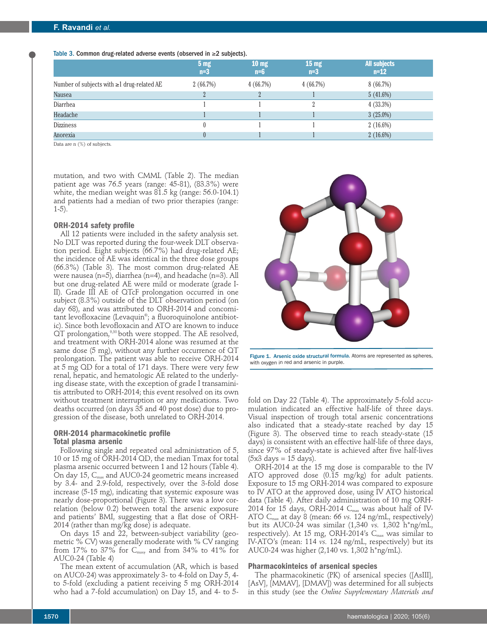Table 3. Common drug-related adverse events (observed in ≥2 subjects).

|                                                  | 5 <sub>mg</sub><br>$n=3$ | 10 <sub>mg</sub><br>$n=6$ | 15 <sub>mg</sub><br>$n=3$ | <b>All subjects</b><br>$n = 12$ |
|--------------------------------------------------|--------------------------|---------------------------|---------------------------|---------------------------------|
| Number of subjects with $\geq 1$ drug-related AE | 2(66.7%)                 | 4(66.7%)                  | 4(66.7%)                  | 8(66.7%)                        |
| Nausea                                           |                          | $\overline{2}$            |                           | 5(41.6%)                        |
| Diarrhea                                         |                          |                           |                           | 4(33.3%)                        |
| Headache                                         |                          |                           |                           | $3(25.0\%)$                     |
| <b>Dizziness</b>                                 |                          |                           |                           | $2(16.6\%)$                     |
| Anorexia                                         |                          |                           |                           | $2(16.6\%)$                     |

Data are n  $(%)$  of subjects.

mutation, and two with CMML (Table 2). The median patient age was 76.5 years (range: 45-81), (83.3%) were white, the median weight was 81.5 kg (range: 56.0-104.1) and patients had a median of two prior therapies (range: 1-5).

#### **ORH-2014 safety profile**

All 12 patients were included in the safety analysis set. No DLT was reported during the four-week DLT observation period. Eight subjects (66.7%) had drug-related AE; the incidence of AE was identical in the three dose groups (66.3%) (Table 3). The most common drug-related AE were nausea (n=5), diarrhea (n=4), and headache (n=3). All but one drug-related AE were mild or moderate (grade I-II). Grade III AE of QTcF prolongation occurred in one subject (8.3%) outside of the DLT observation period (on day 68), and was attributed to ORH-2014 and concomitant levofloxacine (Levaquin®; a fluoroquinolone antibiotic). Since both levofloxacin and ATO are known to induce QT prolongation,<sup>9,30</sup> both were stopped. The AE resolved, and treatment with ORH-2014 alone was resumed at the same dose (5 mg), without any further occurrence of QT prolongation. The patient was able to receive ORH-2014 at 5 mg QD for a total of 171 days. There were very few renal, hepatic, and hematologic AE related to the underlying disease state, with the exception of grade I transaminitis attributed to ORH-2014; this event resolved on its own without treatment interruption or any medications. Two deaths occurred (on days 35 and 40 post dose) due to progression of the disease, both unrelated to ORH-2014.

## **ORH-2014 pharmacokinetic profile Total plasma arsenic**

Following single and repeated oral administration of 5, 10 or 15 mg of ORH-2014 QD, the median Tmax for total plasma arsenic occurred between 1 and 12 hours (Table 4). On day 15, C<sub>max</sub> and AUC0-24 geometric means increased by 3.4- and 2.9-fold, respectively, over the 3-fold dose increase (5-15 mg), indicating that systemic exposure was nearly dose-proportional (Figure 3). There was a low correlation (below 0.2) between total the arsenic exposure and patients' BMI, suggesting that a flat dose of ORH-2014 (rather than mg/kg dose) is adequate.

On days 15 and 22, between-subject variability (geometric % CV) was generally moderate with % CV ranging from 17% to 37% for  $C_{\text{max}}$ , and from 34% to 41% for AUC0-24 (Table 4)

The mean extent of accumulation (AR, which is based on AUC0-24) was approximately 3- to 4-fold on Day 5, 4 to 5-fold (excluding a patient receiving 5 mg ORH-2014 who had a 7-fold accumulation) on Day 15, and 4- to 5-



Figure 1. Arsenic oxide structural formula. Atoms are represented as spheres, with oxygen in red and arsenic in purple.

fold on Day 22 (Table 4). The approximately 5-fold accumulation indicated an effective half-life of three days. Visual inspection of trough total arsenic concentrations also indicated that a steady-state reached by day 15 (Figure 3). The observed time to reach steady-state (15 days) is consistent with an effective half-life of three days, since 97% of steady-state is achieved after five half-lives  $(5x3 \text{ days} = 15 \text{ days}).$ 

ORH-2014 at the 15 mg dose is comparable to the IV ATO approved dose (0.15 mg/kg) for adult patients. Exposure to 15 mg ORH-2014 was compared to exposure to IV ATO at the approved dose, using IV ATO historical data (Table 4). After daily administration of 10 mg ORH-2014 for 15 days, ORH-2014  $C_{\text{max}}$  was about half of IV-ATO Cmax at day 8 (mean: 66 *vs.* 124 ng/mL, respectively) but its AUC0-24 was similar (1,340 *vs.* 1,302 h\*ng/mL, respectively). At 15 mg, ORH-2014's  $C_{\text{max}}$  was similar to IV-ATO's (mean: 114 *vs.* 124 ng/mL, respectively) but its AUC0-24 was higher (2,140 vs. 1,302 h\*ng/mL).

#### **Pharmacokinteics of arsenical species**

The pharmacokinetic (PK) of arsenical species ([AsIII], [AsV], [MMAV], [DMAV]) was determined for all subjects in this study (see the *Online Supplementary Materials and*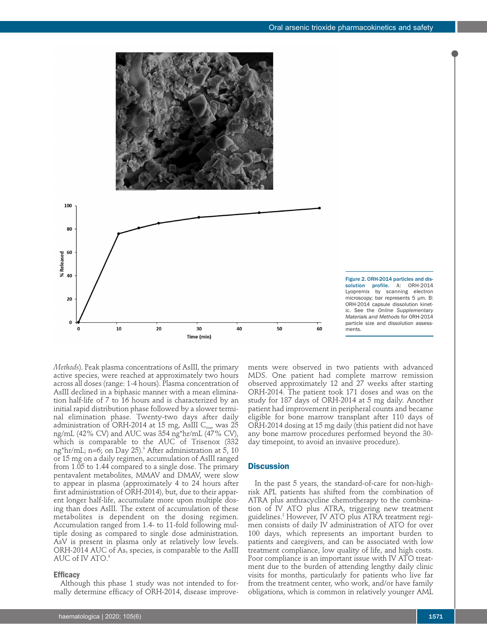

Figure 2. ORH-2014 particles and dissolution profile. A: ORH-2014 Lyopremix by scanning electron microscopy; bar represents 5 µm. B: ORH-2014 capsule dissolution kinetic. See the *Online Supplementary Materials and Methods* for ORH-2014 particle size and dissolution assessments.

*Methods*). Peak plasma concentrations of AsIII, the primary active species, were reached at approximately two hours across all doses (range: 1-4 hours). Plasma concentration of AsIII declined in a biphasic manner with a mean elimination half-life of 7 to 16 hours and is characterized by an initial rapid distribution phase followed by a slower terminal elimination phase. Twenty-two days after daily administration of ORH-2014 at 15 mg, AsIII  $C_{\text{max}}$  was 25 ng/mL (42% CV) and AUC was 354 ng\*hr/mL (47% CV), which is comparable to the AUC of Trisenox (332 ng\*hr/mL; n=6; on Day 25).<sup>9</sup> After administration at 5, 10 or 15 mg on a daily regimen, accumulation of AsIII ranged from 1.05 to 1.44 compared to a single dose. The primary pentavalent metabolites, MMAV and DMAV, were slow to appear in plasma (approximately 4 to 24 hours after first administration of ORH-2014), but, due to their apparent longer half-life, accumulate more upon multiple dosing than does AsIII. The extent of accumulation of these metabolites is dependent on the dosing regimen. Accumulation ranged from 1.4- to 11-fold following multiple dosing as compared to single dose administration. AsV is present in plasma only at relatively low levels. ORH-2014 AUC of  $As<sub>3</sub>$  species, is comparable to the AsIII AUC of IV ATO.<sup>9</sup>

#### **Efficacy**

Although this phase 1 study was not intended to formally determine efficacy of ORH-2014, disease improvements were observed in two patients with advanced MDS. One patient had complete marrow remission observed approximately 12 and 27 weeks after starting ORH-2014. The patient took 171 doses and was on the study for 187 days of ORH-2014 at 5 mg daily. Another patient had improvement in peripheral counts and became eligible for bone marrow transplant after 110 days of ORH-2014 dosing at 15 mg daily (this patient did not have any bone marrow procedures performed beyond the 30 day timepoint, to avoid an invasive procedure).

## **Discussion**

In the past 5 years, the standard-of-care for non-highrisk APL patients has shifted from the combination of ATRA plus anthracycline chemotherapy to the combination of IV ATO plus ATRA, triggering new treatment guidelines.2 However, IV ATO plus ATRA treatment regimen consists of daily IV administration of ATO for over 100 days, which represents an important burden to patients and caregivers, and can be associated with low treatment compliance, low quality of life, and high costs. Poor compliance is an important issue with IV ATO treatment due to the burden of attending lengthy daily clinic visits for months, particularly for patients who live far from the treatment center, who work, and/or have family obligations, which is common in relatively younger AML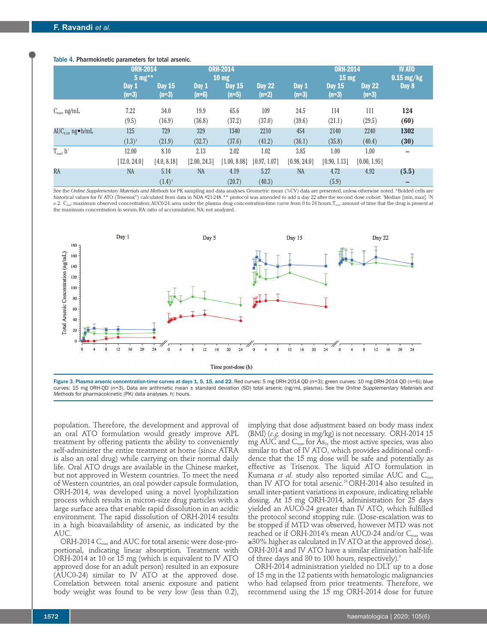#### Table 4. Pharmokinetic parameters for total arsenic.

|                           | <b>ORH-2014</b><br>$5 \text{ mg}$ ** |                          | <b>ORH-2014</b><br>$10 \text{ mg}$ |                          |                          |                  | <b>ORH-2014</b><br>15 <sub>mg</sub> |                          | <b>IV ATO</b><br>$0.15$ mg/kg |
|---------------------------|--------------------------------------|--------------------------|------------------------------------|--------------------------|--------------------------|------------------|-------------------------------------|--------------------------|-------------------------------|
|                           | Day 1<br>$(n=3)$                     | <b>Day 15</b><br>$(n=3)$ | Day 1<br>$(n=6)$                   | <b>Day 15</b><br>$(n=5)$ | <b>Day 22</b><br>$(n=2)$ | Day 1<br>$(n=3)$ | <b>Day 15</b><br>$(n=3)$            | <b>Day 22</b><br>$(n=3)$ | Day 8                         |
| $C_{\text{max}}$ , ng/mL  | 7.22                                 | 34.0                     | 19.9                               | 65.6                     | 109                      | 24.5             | 114                                 | 111                      | 124                           |
|                           | (9.5)                                | (16.9)                   | (36.8)                             | (37.2)                   | (37.0)                   | (39.6)           | (21.1)                              | (29.5)                   | (60)                          |
| $AUC_{0.24}$ , ng•h/mL    | 125                                  | 729                      | 329                                | 1340                     | 2210                     | 454              | 2140                                | 2240                     | 1302                          |
|                           | $(1.3)^{*}$                          | (21.9)                   | (32.7)                             | (37.6)                   | (41.2)                   | (36.1)           | (35.8)                              | (40.4)                   | (30)                          |
| $T_{max}$ , $h^{\dagger}$ | 12.00                                | 8.10                     | 2.13                               | 2.02                     | 1.02                     | 3.85             | 1.00                                | 1.00                     | -                             |
|                           | [12.0, 24.0]                         | [4.0, 8.18]              | [2.00, 24.3]                       | [1.00, 8.08]             | [0.97, 1.07]             | [0.98, 24.0]     | [0.90, 1.13]                        | [0.00, 1.95]             |                               |
| RA                        | <b>NA</b>                            | 5.14                     | <b>NA</b>                          | 4.19                     | 5.27                     | <b>NA</b>        | 4.72                                | 4.92                     | (5.5)                         |
|                           |                                      | $(1.4)^{\ddagger}$       |                                    | (20.7)                   | (40.3)                   |                  | (5.9)                               |                          | -                             |

See the *Online Supplementary Materials and Methods* for PK sampling and data analyses. Geometric mean (%CV) data are presented, unless otherwise noted. \*Bolded cells are historical values for IV ATO (Trisenox®) calculated from data in NDA #21-248. \*\* protocol was amended to add a day 22 after the second dose cohort. 'Median [min, max]. 'N  $= 2.$  C<sub>max</sub>: maximum observed concentration; AUC0-24: area under the plasma drug concentration-time curve from 0 to 24 hours; T<sub>max</sub>: amount of time that the drug is present at the maximum concentration in serum, RA: ratio of accumulation; NA: not analyzed.



Figure 3. Plasma arsenic concentration-time curves at days 1, 5, 15, and 22. Red curves: 5 mg ORH-2014 QD (n=3); green curves: 10 mg ORH-2014 QD (n=6); blue curves: 15 mg ORH-QD (n=3). Data are arithmetic mean ± standard deviation (SD) total arsenic (ng/mL plasma). See the *Online Supplementary Materials and Methods* for pharmacokinetic (PK) data analyses. h: hours.

population. Therefore, the development and approval of an oral ATO formulation would greatly improve APL treatment by offering patients the ability to conveniently self-administer the entire treatment at home (since ATRA is also an oral drug) while carrying on their normal daily life. Oral ATO drugs are available in the Chinese market, but not approved in Western countries. To meet the need of Western countries, an oral powder capsule formulation, ORH-2014, was developed using a novel lyophilization process which results in micron-size drug particles with a large surface area that enable rapid dissolution in an acidic environment. The rapid dissolution of ORH-2014 results in a high bioavailability of arsenic, as indicated by the AUC.

ORH-2014  $C_{\text{max}}$  and AUC for total arsenic were dose-proportional, indicating linear absorption. Treatment with ORH-2014 at 10 or 15 mg (which is equivalent to IV ATO approved dose for an adult person) resulted in an exposure (AUC0-24) similar to IV ATO at the approved dose. Correlation between total arsenic exposure and patient body weight was found to be very low (less than 0.2),

implying that dose adjustment based on body mass index (BMI) (*e.g.* dosing in mg/kg) is not necessary. ORH-2014 15 mg AUC and  $C_{\text{max}}$  for As<sub>3</sub>, the most active species, was also similar to that of IV ATO, which provides additional confidence that the 15 mg dose will be safe and potentially as effective as Trisenox. The liquid ATO formulation in Kumana *et al.* study also reported similar AUC and C<sub>max</sub> than IV ATO for total arsenic.<sup>19</sup> ORH-2014 also resulted in small inter-patient variations in exposure, indicating reliable dosing. At 15 mg ORH-2014, administration for 25 days vielded an AUC0-24 greater than IV ATO, which fulfilled the protocol second stopping rule. (Dose-escalation was to be stopped if MTD was observed, however MTD was not reached or if ORH-2014's mean AUC0-24 and/or  $C_{\text{max}}$  was ≥30% higher as calculated in IV ATO at the approved dose). ORH-2014 and IV ATO have a similar elimination half-life of three days and 80 to 100 hours, respectively).<sup>9</sup>

ORH-2014 administration yielded no DLT up to a dose of 15 mg in the 12 patients with hematologic malignancies who had relapsed from prior treatments. Therefore, we recommend using the 15 mg ORH-2014 dose for future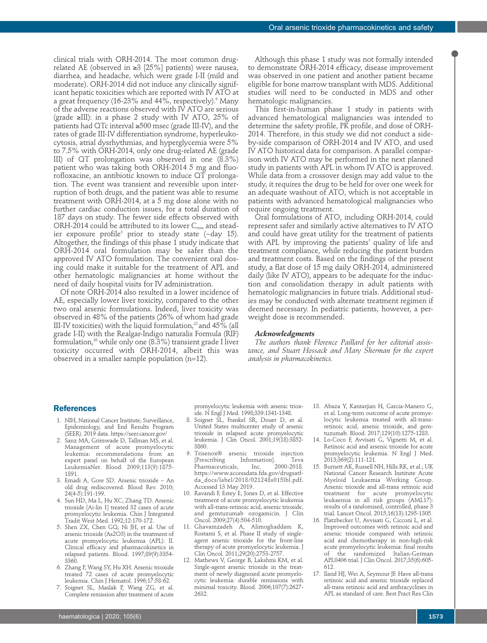clinical trials with ORH-2014. The most common drugrelated AE (observed in ≥3 [25%] patients) were nausea, diarrhea, and headache, which were grade I-II (mild and moderate). ORH-2014 did not induce any clinically significant hepatic toxicities which are reported with IV ATO at a great frequency (16-23% and  $44\%$ , respectively).<sup>9</sup> Many of the adverse reactions observed with IV ATO are serious (grade ≥III): in a phase 2 study with IV ATO, 25% of patients had QTc interval ≥500 msec (grade III-IV), and the rates of grade III-IV differentiation syndrome, hyperleukocytosis, atrial dysrhythmias, and hyperglycemia were 5% to 7.5% with ORH-2014, only one drug-related AE (grade III) of QT prolongation was observed in one (8.3%) patient who was taking both ORH-2014 5 mg and fluorofloxacine, an antibiotic known to induce QT prolongation. The event was transient and reversible upon interruption of both drugs, and the patient was able to resume treatment with ORH-2014, at a 5 mg dose alone with no further cardiac conduction issues, for a total duration of 187 days on study. The fewer side effects observed with ORH-2014 could be attributed to its lower  $C_{\text{max}}$  and steadier exposure profile<sup>3</sup> prior to steady state  $(\sim$ day 15). Altogether, the findings of this phase 1 study indicate that ORH-2014 oral formulation may be safer than the approved IV ATO formulation. The convenient oral dosing could make it suitable for the treatment of APL and other hematologic malignancies at home without the need of daily hospital visits for IV administration.

Of note ORH-2014 also resulted in a lower incidence of AE, especially lower liver toxicity, compared to the other two oral arsenic formulations. Indeed, liver toxicity was observed in 48% of the patients (26% of whom had grade III-IV toxicities) with the liquid formulation, $^{22}$  and 45% (all grade I-II) with the Realgar-Indigo naturalis Formula (RIF) formulation,<sup>26</sup> while only one  $(8.3\%)$  transient grade I liver toxicity occurred with ORH-2014, albeit this was observed in a smaller sample population (n=12).

Although this phase 1 study was not formally intended to demonstrate ORH-2014 efficacy, disease improvement was observed in one patient and another patient became eligible for bone marrow transplant with MDS. Additional studies will need to be conducted in MDS and other hematologic malignancies.

This first-in-human phase 1 study in patients with advanced hematological malignancies was intended to determine the safety profile, PK profile, and dose of ORH-2014. Therefore, in this study we did not conduct a sideby-side comparison of ORH-2014 and IV ATO, and used IV ATO historical data for comparison. A parallel comparison with IV ATO may be performed in the next planned study in patients with APL in whom IV ATO is approved. While data from a crossover design may add value to the study, it requires the drug to be held for over one week for an adequate washout of ATO, which is not acceptable in patients with advanced hematological malignancies who require ongoing treatment.

Oral formulations of ATO, including ORH-2014, could represent safer and similarly active alternatives to IV ATO and could have great utility for the treatment of patients with APL by improving the patients' quality of life and treatment compliance, while reducing the patient burden and treatment costs. Based on the findings of the present study, a flat dose of 15 mg daily ORH-2014, administered daily (like IV ATO), appears to be adequate for the induction and consolidation therapy in adult patients with hematologic malignancies in future trials. Additional studies may be conducted with alternate treatment regimen if deemed necessary. In pediatric patients, however, a perweight dose is recommended.

#### *Acknowledgments*

*The authors thank Florence Paillard for her editorial assistance, and Stuart Hossack and Mary Sherman for the expert analysis in pharmacokinetics.* 

#### **References**

- 1. NIH, National Cancer Institute; Surveillance, Epidemiology, and End Results Program (SEER). 2019 data. https://seer.cancer.gov/
- 2. Sanz MA, Grimwade D, Tallman MS, et al. Management of acute promyelocytic leukemia: recommendations from an expert panel on behalf of the European LeukemiaNet. Blood. 2009;113(9):1875- 1891.
- 3. Emadi A, Gore SD. Arsenic trioxide An old drug rediscovered. Blood Rev. 2010; 24(4-5):191-199.
- 4. Sun HD, Ma L, Hu XC, Zhang TD. Arsenic trioxide [Ai-lin 1] treated 32 cases of acute promyelocytic leukemia. Chin J Integrated Tradit West Med. 1992;12:170-172.
- 5. Shen ZX, Chen GQ, Ni JH, et al. Use of arsenic trioxide (As2O3) in the treatment of acute promyelocytic leukemia (APL): II. Clinical efficacy and pharmacokinetics in relapsed patients. Blood. 1997;89(9):3354- 3360.
- 6. Zhang P, Wang SY, Hu XH. Arsenic trioxide treated 72 cases of acute promyelocytic leukemia. Chin J Hematol. 1996;17:58-62.
- 7. Soignet SL, Maslak P, Wang ZG, et al. Complete remission after treatment of acute

promyelocytic leukemia with arsenic trioxide. N Engl J Med. 1998;339:1341-1348.

- 8. Soignet SL, Frankel SR, Douer D, et al. United States multicenter study of arsenic trioxide in relapsed acute promyelocytic leukemia. J Clin Oncol. 2001;19(18):3852- 3860.
- 9. Trisenox<sup>®</sup> arsenic trioxide injection<br><sup>[Prescribing</sup> Information]. Teva [Prescribing Information]. Teva Pharmaceuticals, https://www.accessdata.fda.gov/drugsatfda\_docs/label/2018/021248s015lbl.pdf. Accessed 13 May 2019.
- 10. Ravandi F, Estey E, Jones D, et al. Effective treatment of acute promyelocytic leukemia with all-trans-retinoic acid, arsenic trioxide, and gemtuzumab ozogamicin. J Clin Oncol. 2009;27(4):504-510.
- 11. Ghavamzadeh A, Alimoghaddam K, Rostami S, et al. Phase II study of singleagent arsenic trioxide for the front-line therapy of acute promyelocytic leukemia. J Clin Oncol. 2011;29(20):2753-2757.
- 12. Mathews V, George B, Lakshmi KM, et al. Single-agent arsenic trioxide in the treatment of newly diagnosed acute promyelocytic leukemia: durable remissions with minimal toxicity. Blood. 2006;107(7):2627- 2632.
- 13. Abaza Y, Kantarjian H, Garcia-Manero G, et al. Long-term outcome of acute promyelocytic leukemia treated with all-transretinoic acid, arsenic trioxide, and gemtuzumab. Blood. 2017;129(10):1275-1283.
- 14. Lo-Coco F, Avvisati G, Vignetti M, et al. Retinoic acid and arsenic trioxide for acute promyelocytic leukemia. N Engl J Med. 2013;369(2):111-121.
- 15. Burnett AK, Russell NH, Hills RK, et al.; UK National Cancer Research Institute Acute Myeloid Leukaemia Working Group. Arsenic trioxide and all-trans retinoic acid treatment for acute promyelocytic leukaemia in all risk groups (AML17): results of a randomised, controlled, phase 3 trial. Lancet Oncol. 2015;16(13):1295-1305.
- 16. Platzbecker U, Avvisati G, Cicconi L, et al. Improved outcomes with retinoic acid and arsenic trioxide compared with retinoic acid and chemotherapy in non-high-risk acute promyelocytic leukemia: final results of the randomized Italian-German APL0406 trial. J Clin Oncol. 2017;35(6):605- 612.
- 17. Iland HJ, Wei A, Seymour JF. Have all-trans retinoic acid and arsenic trioxide replaced all-trans retinoic acid and anthracyclines in APL as standard of care. Best Pract Res Clin